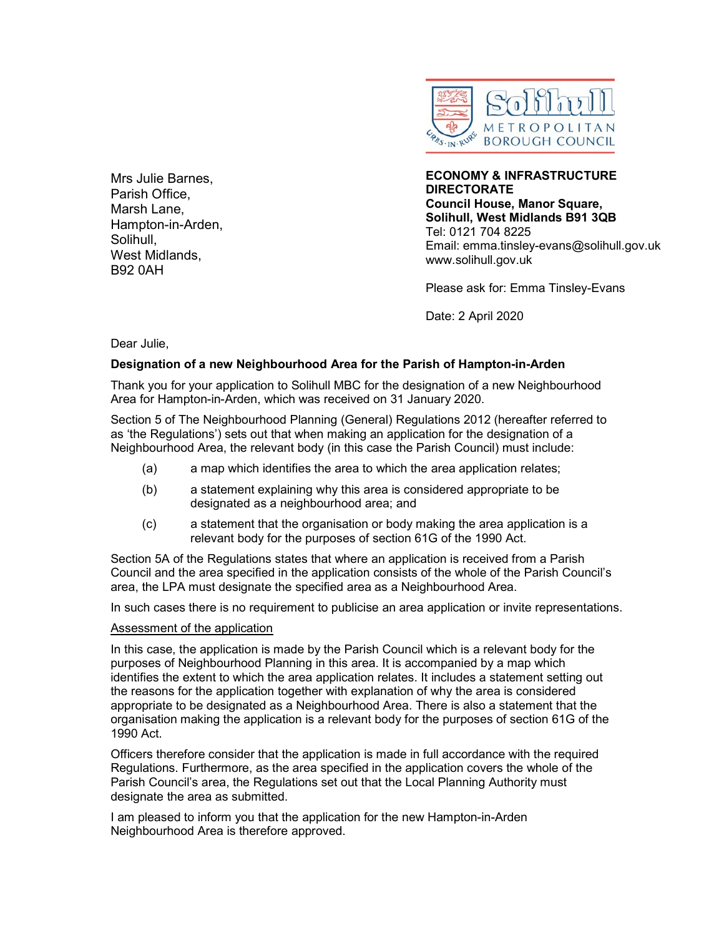

Mrs Julie Barnes, Parish Office, Marsh Lane, Hampton-in-Arden, Solihull, West Midlands, B92 0AH

ECONOMY & INFRASTRUCTURE **DIRECTORATE** Council House, Manor Square, Solihull, West Midlands B91 3QB Tel: 0121 704 8225 Email: emma.tinsley-evans@solihull.gov.uk www.solihull.gov.uk

Please ask for: Emma Tinsley-Evans

Date: 2 April 2020

Dear Julie,

## Designation of a new Neighbourhood Area for the Parish of Hampton-in-Arden

Thank you for your application to Solihull MBC for the designation of a new Neighbourhood Area for Hampton-in-Arden, which was received on 31 January 2020.

Section 5 of The Neighbourhood Planning (General) Regulations 2012 (hereafter referred to as 'the Regulations') sets out that when making an application for the designation of a Neighbourhood Area, the relevant body (in this case the Parish Council) must include:

- (a) a map which identifies the area to which the area application relates;
- (b) a statement explaining why this area is considered appropriate to be designated as a neighbourhood area; and
- (c) a statement that the organisation or body making the area application is a relevant body for the purposes of section 61G of the 1990 Act.

Section 5A of the Regulations states that where an application is received from a Parish Council and the area specified in the application consists of the whole of the Parish Council's area, the LPA must designate the specified area as a Neighbourhood Area.

In such cases there is no requirement to publicise an area application or invite representations.

## Assessment of the application

In this case, the application is made by the Parish Council which is a relevant body for the purposes of Neighbourhood Planning in this area. It is accompanied by a map which identifies the extent to which the area application relates. It includes a statement setting out the reasons for the application together with explanation of why the area is considered appropriate to be designated as a Neighbourhood Area. There is also a statement that the organisation making the application is a relevant body for the purposes of section 61G of the 1990 Act.

Officers therefore consider that the application is made in full accordance with the required Regulations. Furthermore, as the area specified in the application covers the whole of the Parish Council's area, the Regulations set out that the Local Planning Authority must designate the area as submitted.

I am pleased to inform you that the application for the new Hampton-in-Arden Neighbourhood Area is therefore approved.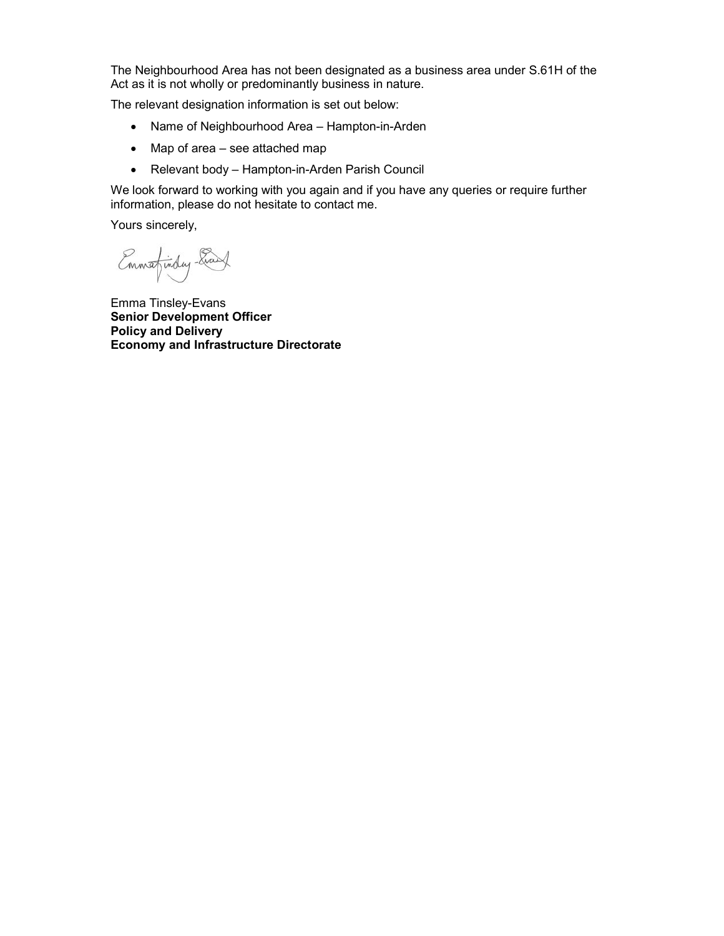The Neighbourhood Area has not been designated as a business area under S.61H of the Act as it is not wholly or predominantly business in nature.

The relevant designation information is set out below:

- Name of Neighbourhood Area Hampton-in-Arden
- Map of area see attached map
- Relevant body Hampton-in-Arden Parish Council

We look forward to working with you again and if you have any queries or require further information, please do not hesitate to contact me.

Yours sincerely,

Emmafinday- Evans

Emma Tinsley-Evans Senior Development Officer Policy and Delivery Economy and Infrastructure Directorate